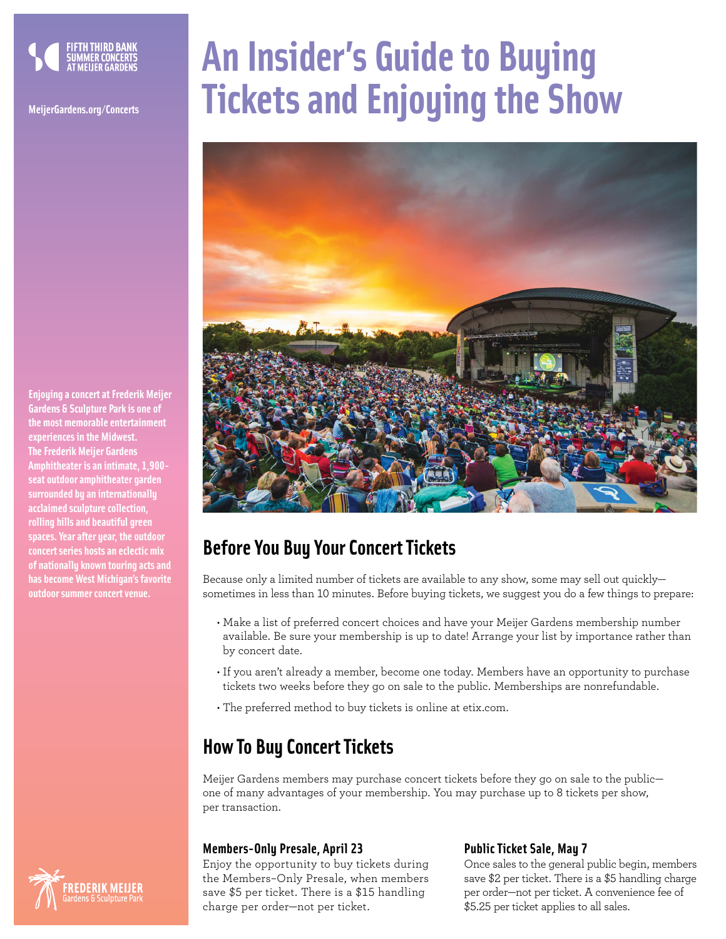

**Enjoying a concert at Frederik Meijer Gardens & Sculpture Park is one of the most memorable entertainment experiences in the Midwest. The Frederik Meijer Gardens Amphitheater is an intimate, 1,900 seat outdoor amphitheater garden surrounded by an internationally acclaimed sculpture collection, rolling hills and beautiful green spaces. Year after year, the outdoor concert series hosts an eclectic mix of nationally known touring acts and has become West Michigan's favorite outdoor summer concert venue.**

# **An Insider's Guide to Buying MeijerGardens.org/Concerts Tickets and Enjoying the Show**



# **Before You Buy Your Concert Tickets**

Because only a limited number of tickets are available to any show, some may sell out quickly sometimes in less than 10 minutes. Before buying tickets, we suggest you do a few things to prepare:

- Make a list of preferred concert choices and have your Meijer Gardens membership number available. Be sure your membership is up to date! Arrange your list by importance rather than by concert date.
- If you aren't already a member, become one today. Members have an opportunity to purchase tickets two weeks before they go on sale to the public. Memberships are nonrefundable.
- The preferred method to buy tickets is online at etix.com.

# **How To Buy Concert Tickets**

Meijer Gardens members may purchase concert tickets before they go on sale to the public one of many advantages of your membership. You may purchase up to 8 tickets per show, per transaction.

## **Members-Only Presale, April 23**

Enjoy the opportunity to buy tickets during the Members–Only Presale, when members save \$5 per ticket. There is a \$15 handling charge per order—not per ticket.

## **Public Ticket Sale, May 7**

Once sales to the general public begin, members save \$2 per ticket. There is a \$5 handling charge per order—not per ticket. A convenience fee of \$5.25 per ticket applies to all sales.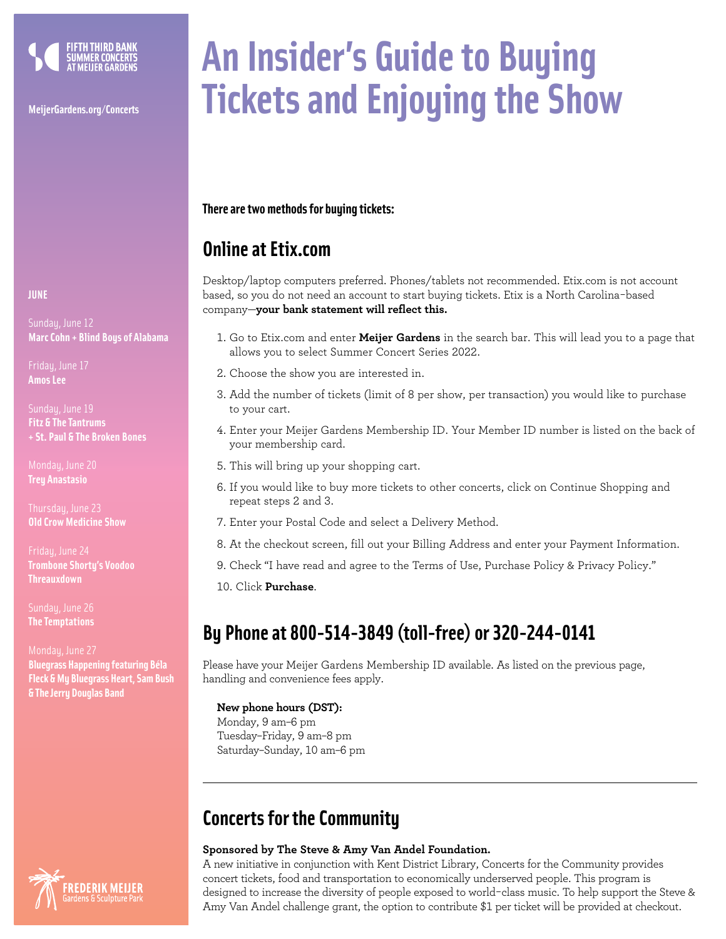

# **An Insider's Guide to Buying MeijerGardens.org/Concerts Tickets and Enjoying the Show**

## **There are two methods for buying tickets:**

## **Online at Etix.com**

Desktop/laptop computers preferred. Phones/tablets not recommended. Etix.com is not account based, so you do not need an account to start buying tickets. Etix is a North Carolina-based company—**your bank statement will reflect this.**

- 1. Go to Etix.com and enter **Meijer Gardens** in the search bar. This will lead you to a page that allows you to select Summer Concert Series 2022.
- 2. Choose the show you are interested in.
- 3. Add the number of tickets (limit of 8 per show, per transaction) you would like to purchase to your cart.
- 4. Enter your Meijer Gardens Membership ID. Your Member ID number is listed on the back of your membership card.
- 5. This will bring up your shopping cart.
- 6. If you would like to buy more tickets to other concerts, click on Continue Shopping and repeat steps 2 and 3.
- 7. Enter your Postal Code and select a Delivery Method.
- 8. At the checkout screen, fill out your Billing Address and enter your Payment Information.
- 9. Check "I have read and agree to the Terms of Use, Purchase Policy & Privacy Policy."

10. Click **Purchase**.

## **By Phone at 800-514-3849 (toll-free) or 320-244-0141**

Please have your Meijer Gardens Membership ID available. As listed on the previous page, handling and convenience fees apply.

## **New phone hours (DST):**

Monday, 9 am–6 pm Tuesday–Friday, 9 am–8 pm Saturday–Sunday, 10 am–6 pm

## **Concerts for the Community**

## **Sponsored by The Steve & Amy Van Andel Foundation.**

A new initiative in conjunction with Kent District Library, Concerts for the Community provides concert tickets, food and transportation to economically underserved people. This program is designed to increase the diversity of people exposed to world-class music. To help support the Steve & Amy Van Andel challenge grant, the option to contribute \$1 per ticket will be provided at checkout.

### **JUNE**

Sundau, June 12 **Marc Cohn + Blind Boys of Alabama**

Friday, June 17 **Amos Lee**

Sundau, June 19 **Fitz & The Tantrums + St. Paul & The Broken Bones**

Mondau, June 20 **Trey Anastasio**

**Old Crow Medicine Show**

Friday, June 24 **Trombone Shorty's Voodoo Threauxdown**

Sundau, June 26 **The Temptations**

**Bluegrass Happening featuring Béla Fleck & My Bluegrass Heart, Sam Bush & The Jerry Douglas Band**

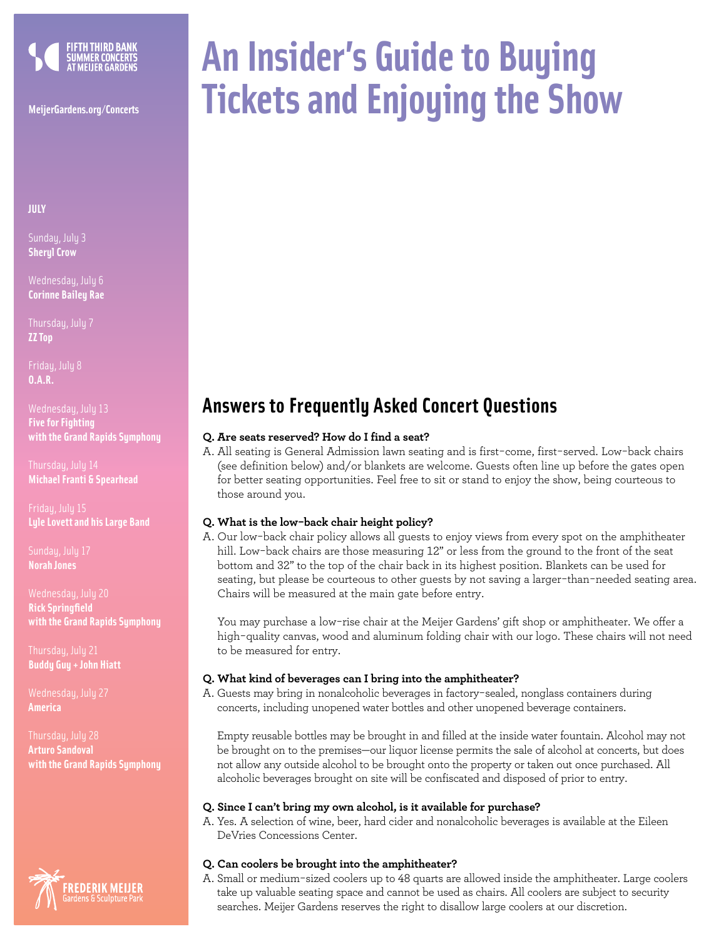

**JULY**

Sunday, July 3 **Sheryl Crow**

Wednesday, July 6 **Corinne Bailey Rae**

Thursday, July 7 **ZZ Top**

Friday, July 8 **O.A.R.** 

Wednesday, July 13 **Five for Fighting with the Grand Rapids Symphony**

Thursdau, Julu 14 **Michael Franti & Spearhead**

Friday, July 15 **Lyle Lovett and his Large Band**

**Norah Jones**

Wednesday, July 20 **Rick Springfield with the Grand Rapids Symphony**

**Buddy Guy + John Hiatt** 

Wednesday, July 27 **America**

Thursdau, July 28 **Arturo Sandoval with the Grand Rapids Symphony**



# **An Insider's Guide to Buying MeijerGardens.org/Concerts Tickets and Enjoying the Show**

## **Answers to Frequently Asked Concert Questions**

## **Q. Are seats reserved? How do I find a seat?**

A. All seating is General Admission lawn seating and is first-come, first-served. Low-back chairs (see definition below) and/or blankets are welcome. Guests often line up before the gates open for better seating opportunities. Feel free to sit or stand to enjoy the show, being courteous to those around you.

### **Q. What is the low-back chair height policy?**

A. Our low-back chair policy allows all guests to enjoy views from every spot on the amphitheater hill. Low-back chairs are those measuring 12" or less from the ground to the front of the seat bottom and 32" to the top of the chair back in its highest position. Blankets can be used for seating, but please be courteous to other guests by not saving a larger-than-needed seating area. Chairs will be measured at the main gate before entry.

You may purchase a low-rise chair at the Meijer Gardens' gift shop or amphitheater. We offer a high-quality canvas, wood and aluminum folding chair with our logo. These chairs will not need to be measured for entry.

### **Q. What kind of beverages can I bring into the amphitheater?**

A. Guests may bring in nonalcoholic beverages in factory-sealed, nonglass containers during concerts, including unopened water bottles and other unopened beverage containers.

Empty reusable bottles may be brought in and filled at the inside water fountain. Alcohol may not be brought on to the premises—our liquor license permits the sale of alcohol at concerts, but does not allow any outside alcohol to be brought onto the property or taken out once purchased. All alcoholic beverages brought on site will be confiscated and disposed of prior to entry.

### **Q. Since I can't bring my own alcohol, is it available for purchase?**

A. Yes. A selection of wine, beer, hard cider and nonalcoholic beverages is available at the Eileen DeVries Concessions Center.

### **Q. Can coolers be brought into the amphitheater?**

A. Small or medium-sized coolers up to 48 quarts are allowed inside the amphitheater. Large coolers take up valuable seating space and cannot be used as chairs. All coolers are subject to security searches. Meijer Gardens reserves the right to disallow large coolers at our discretion.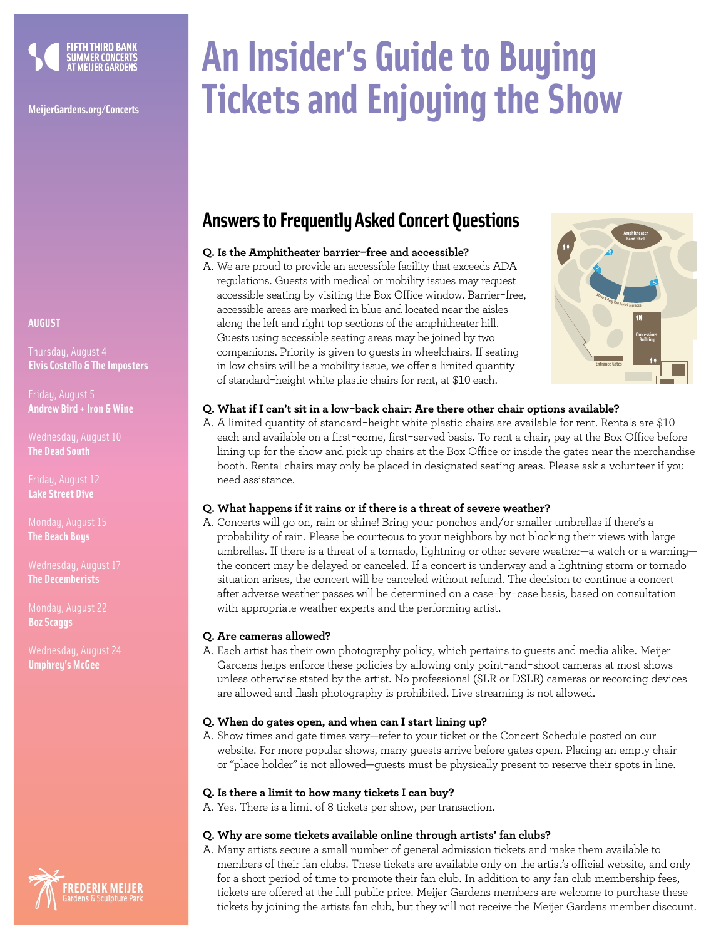

## **AUGUST**

**Elvis Costello & The Imposters**

**Andrew Bird + Iron & Wine**

**The Dead South**

Friday, August 12 **Lake Street Dive**

**The Beach Boys**

**The Decemberists**

Monday, August 22 **Boz Scaggs** 

**Umphrey's McGee**



# **An Insider's Guide to Buying MeijerGardens.org/Concerts Tickets and Enjoying the Show**

## **Answers to Frequently Asked Concert Questions**

## **Q. Is the Amphitheater barrier-free and accessible?**

A. We are proud to provide an accessible facility that exceeds ADA regulations. Guests with medical or mobility issues may request accessible seating by visiting the Box Office window. Barrier-free, accessible areas are marked in blue and located near the aisles along the left and right top sections of the amphitheater hill. Guests using accessible seating areas may be joined by two companions. Priority is given to guests in wheelchairs. If seating in low chairs will be a mobility issue, we offer a limited quantity of standard-height white plastic chairs for rent, at \$10 each.



## **Q. What if I can't sit in a low-back chair: Are there other chair options available?**

A. A limited quantity of standard-height white plastic chairs are available for rent. Rentals are \$10 each and available on a first-come, first-served basis. To rent a chair, pay at the Box Office before lining up for the show and pick up chairs at the Box Office or inside the gates near the merchandise booth. Rental chairs may only be placed in designated seating areas. Please ask a volunteer if you need assistance.

## **Q. What happens if it rains or if there is a threat of severe weather?**

A. Concerts will go on, rain or shine! Bring your ponchos and/or smaller umbrellas if there's a probability of rain. Please be courteous to your neighbors by not blocking their views with large umbrellas. If there is a threat of a tornado, lightning or other severe weather—a watch or a warning the concert may be delayed or canceled. If a concert is underway and a lightning storm or tornado situation arises, the concert will be canceled without refund. The decision to continue a concert after adverse weather passes will be determined on a case-by-case basis, based on consultation with appropriate weather experts and the performing artist.

## **Q. Are cameras allowed?**

A. Each artist has their own photography policy, which pertains to guests and media alike. Meijer Gardens helps enforce these policies by allowing only point-and-shoot cameras at most shows unless otherwise stated by the artist. No professional (SLR or DSLR) cameras or recording devices are allowed and flash photography is prohibited. Live streaming is not allowed.

## **Q. When do gates open, and when can I start lining up?**

A. Show times and gate times vary—refer to your ticket or the Concert Schedule posted on our website. For more popular shows, many guests arrive before gates open. Placing an empty chair or "place holder" is not allowed—guests must be physically present to reserve their spots in line.

## **Q. Is there a limit to how many tickets I can buy?**

A. Yes. There is a limit of 8 tickets per show, per transaction.

## **Q. Why are some tickets available online through artists' fan clubs?**

A. Many artists secure a small number of general admission tickets and make them available to members of their fan clubs. These tickets are available only on the artist's official website, and only for a short period of time to promote their fan club. In addition to any fan club membership fees, tickets are offered at the full public price. Meijer Gardens members are welcome to purchase these tickets by joining the artists fan club, but they will not receive the Meijer Gardens member discount.